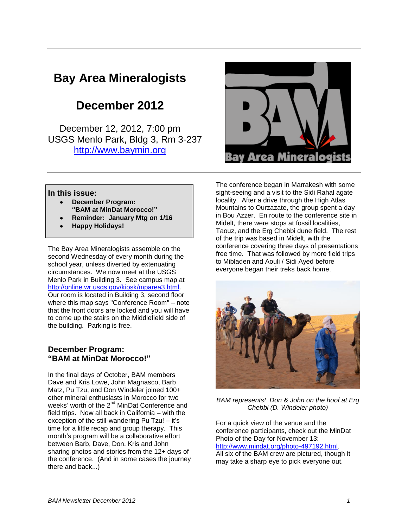# **Bay Area Mineralogists**

# **December 2012**

December 12, 2012, 7:00 pm USGS Menlo Park, Bldg 3, Rm 3-237 [http://www.baymin.org](http://www.baymin.org/)



#### **In this issue:**

- **December Program: "BAM at MinDat Morocco!"**
- **Reminder: January Mtg on 1/16**
- **Happy Holidays!**

The Bay Area Mineralogists assemble on the second Wednesday of every month during the school year, unless diverted by extenuating circumstances. We now meet at the USGS Menlo Park in Building 3. See campus map at [http://online.wr.usgs.gov/kiosk/mparea3.html.](http://online.wr.usgs.gov/kiosk/mparea3.html) Our room is located in Building 3, second floor where this map says "Conference Room" – note that the front doors are locked and you will have to come up the stairs on the Middlefield side of the building. Parking is free.

#### **December Program: "BAM at MinDat Morocco!"**

In the final days of October, BAM members Dave and Kris Lowe, John Magnasco, Barb Matz, Pu Tzu, and Don Windeler joined 100+ other mineral enthusiasts in Morocco for two weeks' worth of the 2<sup>nd</sup> MinDat Conference and field trips. Now all back in California – with the exception of the still-wandering Pu Tzu! – it's time for a little recap and group therapy. This month's program will be a collaborative effort between Barb, Dave, Don, Kris and John sharing photos and stories from the 12+ days of the conference. (And in some cases the journey there and back...)

The conference began in Marrakesh with some sight-seeing and a visit to the Sidi Rahal agate locality. After a drive through the High Atlas Mountains to Ourzazate, the group spent a day in Bou Azzer. En route to the conference site in Midelt, there were stops at fossil localities, Taouz, and the Erg Chebbi dune field. The rest of the trip was based in Midelt, with the conference covering three days of presentations free time. That was followed by more field trips to Mibladen and Aouli / Sidi Ayed before everyone began their treks back home.



*BAM represents! Don & John on the hoof at Erg Chebbi (D. Windeler photo)*

For a quick view of the venue and the conference participants, check out the MinDat Photo of the Day for November 13: [http://www.mindat.org/photo-497192.html.](http://www.mindat.org/photo-497192.html) All six of the BAM crew are pictured, though it may take a sharp eye to pick everyone out.